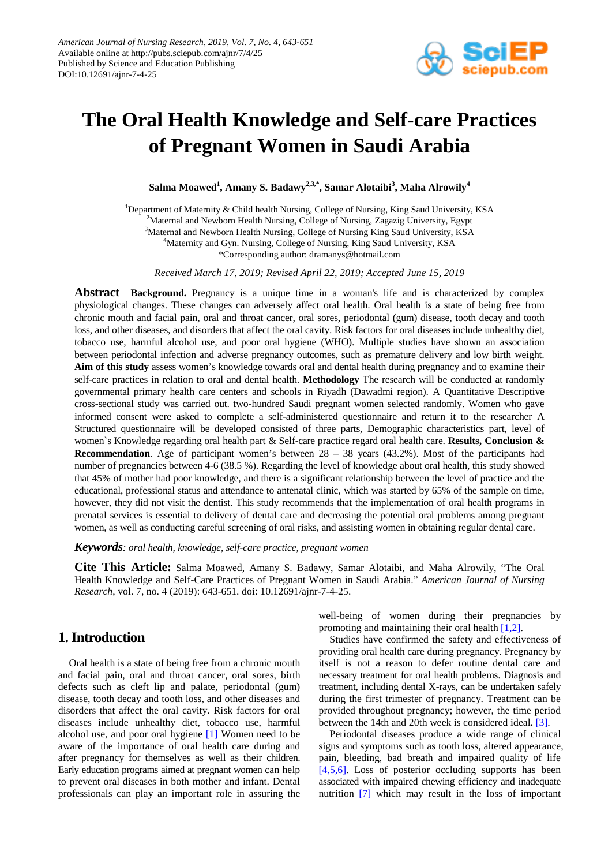

# **The Oral Health Knowledge and Self-care Practices of Pregnant Women in Saudi Arabia**

**Salma Moawed1 , Amany S. Badawy2,3,\*, Samar Alotaibi3 , Maha Alrowily<sup>4</sup>**

<sup>1</sup>Department of Maternity & Child health Nursing, College of Nursing, King Saud University, KSA <sup>2</sup>Maternal and Newborn Health Nursing, College of Nursing, Zagazig University, Egypt <sup>3</sup>Maternal and Newborn Health Nursing, College of Nursing King Saud University, KSA <sup>4</sup>Maternity and Gyn. Nursing, College of Nursing, King Saud University, KSA \*Corresponding author: dramanys@hotmail.com

*Received March 17, 2019; Revised April 22, 2019; Accepted June 15, 2019*

**Abstract Background.** Pregnancy is a unique time in a woman's life and is characterized by complex physiological changes. These changes can adversely affect oral health. Oral health is a state of being free from chronic mouth and facial pain, oral and throat cancer, oral sores, periodontal (gum) disease, tooth decay and tooth loss, and other diseases, and disorders that affect the oral cavity. Risk factors for oral diseases include unhealthy diet, tobacco use, harmful alcohol use, and poor oral hygiene (WHO). Multiple studies have shown an association between periodontal infection and adverse pregnancy outcomes, such as premature delivery and low birth weight. **Aim of this study** assess women's knowledge towards oral and dental health during pregnancy and to examine their self-care practices in relation to oral and dental health. **Methodology** The research will be conducted at randomly governmental primary health care centers and schools in Riyadh (Dawadmi region). A Quantitative Descriptive cross-sectional study was carried out. two-hundred Saudi pregnant women selected randomly. Women who gave informed consent were asked to complete a self-administered questionnaire and return it to the researcher A Structured questionnaire will be developed consisted of three parts, Demographic characteristics part, level of women`s Knowledge regarding oral health part & Self-care practice regard oral health care. **Results, Conclusion & Recommendation**. Age of participant women's between 28 – 38 years (43.2%). Most of the participants had number of pregnancies between 4-6 (38.5 %). Regarding the level of knowledge about oral health, this study showed that 45% of mother had poor knowledge, and there is a significant relationship between the level of practice and the educational, professional status and attendance to antenatal clinic, which was started by 65% of the sample on time, however, they did not visit the dentist. This study recommends that the implementation of oral health programs in prenatal services is essential to delivery of dental care and decreasing the potential oral problems among pregnant women, as well as conducting careful screening of oral risks, and assisting women in obtaining regular dental care.

*Keywords: oral health, knowledge, self-care practice, pregnant women*

**Cite This Article:** Salma Moawed, Amany S. Badawy, Samar Alotaibi, and Maha Alrowily, "The Oral Health Knowledge and Self-Care Practices of Pregnant Women in Saudi Arabia." *American Journal of Nursing Research*, vol. 7, no. 4 (2019): 643-651. doi: 10.12691/ajnr-7-4-25.

# **1. Introduction**

Oral health is a state of being free from a chronic mouth and facial pain, oral and throat cancer, oral sores, birth defects such as cleft lip and palate, periodontal (gum) disease, tooth decay and tooth loss, and other diseases and disorders that affect the oral cavity. Risk factors for oral diseases include unhealthy diet, tobacco use, harmful alcohol use, and poor oral hygiene [\[1\]](#page-7-0) Women need to be aware of the importance of oral health care during and after pregnancy for themselves as well as their children. Early education programs aimed at pregnant women can help to prevent oral diseases in both mother and infant. Dental professionals can play an important role in assuring the well-being of women during their pregnancies by promoting and maintaining their oral health [\[1,2\].](#page-7-0)

Studies have confirmed the safety and effectiveness of providing oral health care during pregnancy. Pregnancy by itself is not a reason to defer routine dental care and necessary treatment for oral health problems. Diagnosis and treatment, including dental X-rays, can be undertaken safely during the first trimester of pregnancy. Treatment can be provided throughout pregnancy; however, the time period between the 14th and 20th week is considered ideal**.** [\[3\].](#page-7-1)

Periodontal diseases produce a wide range of clinical signs and symptoms such as tooth loss, altered appearance, pain, bleeding, bad breath and impaired quality of life [\[4,5,6\].](#page-7-2) Loss of posterior occluding supports has been associated with impaired chewing efficiency and inadequate nutrition [\[7\]](#page-7-3) which may result in the loss of important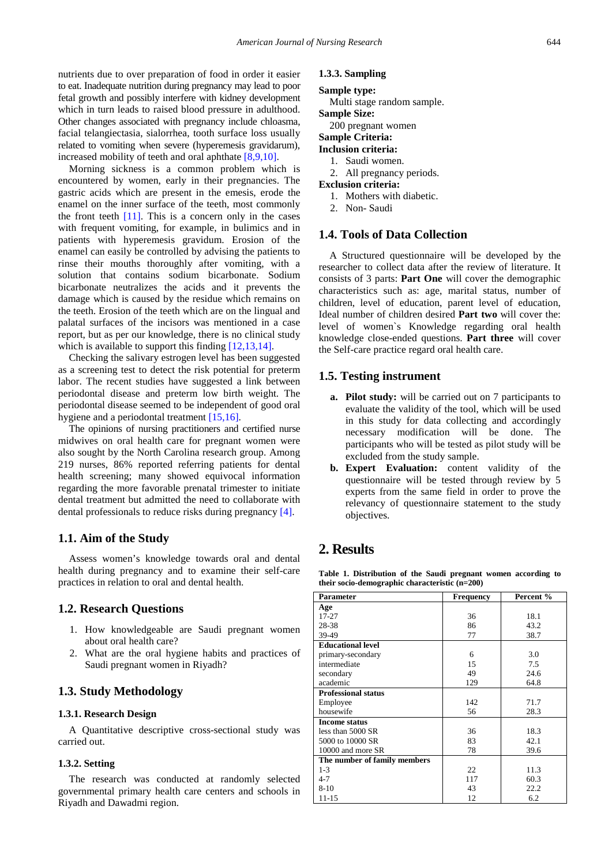nutrients due to over preparation of food in order it easier to eat. Inadequate nutrition during pregnancy may lead to poor fetal growth and possibly interfere with kidney development which in turn leads to raised blood pressure in adulthood. Other changes associated with pregnancy include chloasma, facial telangiectasia, sialorrhea, tooth surface loss usually related to vomiting when severe (hyperemesis gravidarum), increased mobility of teeth and oral aphthate [\[8,9,10\].](#page-7-4)

Morning sickness is a common problem which is encountered by women, early in their pregnancies. The gastric acids which are present in the emesis, erode the enamel on the inner surface of the teeth, most commonly the front teeth  $[11]$ . This is a concern only in the cases with frequent vomiting, for example, in bulimics and in patients with hyperemesis gravidum. Erosion of the enamel can easily be controlled by advising the patients to rinse their mouths thoroughly after vomiting, with a solution that contains sodium bicarbonate. Sodium bicarbonate neutralizes the acids and it prevents the damage which is caused by the residue which remains on the teeth. Erosion of the teeth which are on the lingual and palatal surfaces of the incisors was mentioned in a case report, but as per our knowledge, there is no clinical study which is available to support this finding [\[12,13,14\].](#page-7-6)

Checking the salivary estrogen level has been suggested as a screening test to detect the risk potential for preterm labor. The recent studies have suggested a link between periodontal disease and preterm low birth weight. The periodontal disease seemed to be independent of good oral hygiene and a periodontal treatment [\[15,16\].](#page-7-7)

The opinions of nursing practitioners and certified nurse midwives on oral health care for pregnant women were also sought by the North Carolina research group. Among 219 nurses, 86% reported referring patients for dental health screening; many showed equivocal information regarding the more favorable prenatal trimester to initiate dental treatment but admitted the need to collaborate with dental professionals to reduce risks during pregnancy [\[4\].](#page-7-2)

### **1.1. Aim of the Study**

Assess women's knowledge towards oral and dental health during pregnancy and to examine their self-care practices in relation to oral and dental health.

#### **1.2. Research Questions**

- 1. How knowledgeable are Saudi pregnant women about oral health care?
- 2. What are the oral hygiene habits and practices of Saudi pregnant women in Riyadh?

### **1.3. Study Methodology**

### **1.3.1. Research Design**

A Quantitative descriptive cross-sectional study was carried out.

#### **1.3.2. Setting**

The research was conducted at randomly selected governmental primary health care centers and schools in Riyadh and Dawadmi region.

#### **1.3.3. Sampling**

## **Sample type:**

Multi stage random sample. **Sample Size:**

200 pregnant women

# **Sample Criteria:**

# **Inclusion criteria:**

- 1. Saudi women. 2. All pregnancy periods.
- **Exclusion criteria:**
	- 1. Mothers with diabetic.
	- 2. Non- Saudi

## **1.4. Tools of Data Collection**

A Structured questionnaire will be developed by the researcher to collect data after the review of literature. It consists of 3 parts: **Part One** will cover the demographic characteristics such as: age, marital status, number of children, level of education, parent level of education, Ideal number of children desired **Part two** will cover the: level of women`s Knowledge regarding oral health knowledge close-ended questions. **Part three** will cover the Self-care practice regard oral health care.

#### **1.5. Testing instrument**

- **a. Pilot study:** will be carried out on 7 participants to evaluate the validity of the tool, which will be used in this study for data collecting and accordingly necessary modification will be done. The participants who will be tested as pilot study will be excluded from the study sample.
- **b. Expert Evaluation:** content validity of the questionnaire will be tested through review by 5 experts from the same field in order to prove the relevancy of questionnaire statement to the study objectives.

# **2. Results**

**Table 1. Distribution of the Saudi pregnant women according to their socio-demographic characteristic (n=200)**

<span id="page-1-0"></span>

| <b>Parameter</b>             | <b>Frequency</b> | Percent % |
|------------------------------|------------------|-----------|
| Age                          |                  |           |
| $17 - 27$                    | 36               | 18.1      |
| 28-38                        | 86               | 43.2      |
| 39-49                        | 77               | 38.7      |
| <b>Educational level</b>     |                  |           |
| primary-secondary            | 6                | 3.0       |
| intermediate                 | 15               | 7.5       |
| secondary                    | 49               | 24.6      |
| academic                     | 129              | 64.8      |
| <b>Professional status</b>   |                  |           |
| Employee                     | 142              | 71.7      |
| housewife                    | 56               | 28.3      |
| <b>Income status</b>         |                  |           |
| less than 5000 SR            | 36               | 18.3      |
| 5000 to 10000 SR             | 83               | 42.1      |
| 10000 and more SR            | 78               | 39.6      |
| The number of family members |                  |           |
| $1 - 3$                      | 22               | 11.3      |
| $4 - 7$                      | 117              | 60.3      |
| $8 - 10$                     | 43               | 22.2      |
| 11-15                        | 12               | 6.2       |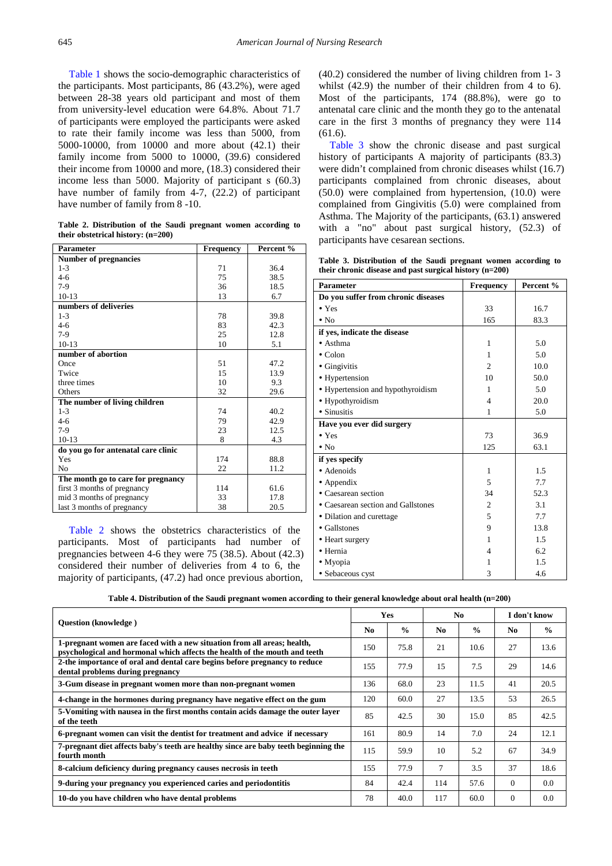[Table 1](#page-1-0) shows the socio-demographic characteristics of the participants. Most participants, 86 (43.2%), were aged between 28-38 years old participant and most of them from university-level education were 64.8%. About 71.7 of participants were employed the participants were asked to rate their family income was less than 5000, from 5000-10000, from 10000 and more about (42.1) their family income from 5000 to 10000, (39.6) considered their income from 10000 and more, (18.3) considered their income less than 5000. Majority of participant s (60.3) have number of family from 4-7, (22.2) of participant have number of family from  $8 - 10$ .

**Table 2. Distribution of the Saudi pregnant women according to their obstetrical history: (n=200)**

<span id="page-2-0"></span>

| <b>Parameter</b>                    | <b>Frequency</b> | Percent % |
|-------------------------------------|------------------|-----------|
| <b>Number of pregnancies</b>        |                  |           |
| $1 - 3$                             | 71               | 36.4      |
| $4 - 6$                             | 75               | 38.5      |
| $7-9$                               | 36               | 18.5      |
| $10-13$                             | 13               | 6.7       |
| numbers of deliveries               |                  |           |
| $1 - 3$                             | 78               | 39.8      |
| $4 - 6$                             | 83               | 42.3      |
| $7-9$                               | 25               | 12.8      |
| $10-13$                             | 10               | 5.1       |
| number of abortion                  |                  |           |
| Once                                | 51               | 47.2      |
| Twice                               | 15               | 13.9      |
| three times                         | 10               | 9.3       |
| Others                              | 32               | 29.6      |
| The number of living children       |                  |           |
| $1 - 3$                             | 74               | 40.2      |
| $4 - 6$                             | 79               | 42.9      |
| $7-9$                               | 23               | 12.5      |
| $10-13$                             | 8                | 4.3       |
| do you go for antenatal care clinic |                  |           |
| Yes                                 | 174              | 88.8      |
| N <sub>0</sub>                      | 22               | 11.2      |
| The month go to care for pregnancy  |                  |           |
| first 3 months of pregnancy         | 114              | 61.6      |
| mid 3 months of pregnancy           | 33               | 17.8      |
| last 3 months of pregnancy          | 38               | 20.5      |

[Table 2](#page-2-0) shows the obstetrics characteristics of the participants. Most of participants had number of pregnancies between 4-6 they were 75 (38.5). About (42.3) considered their number of deliveries from 4 to 6, the majority of participants, (47.2) had once previous abortion,

(40.2) considered the number of living children from 1- 3 whilst (42.9) the number of their children from 4 to 6). Most of the participants, 174 (88.8%), were go to antenatal care clinic and the month they go to the antenatal care in the first 3 months of pregnancy they were 114 (61.6).

[Table 3](#page-2-1) show the chronic disease and past surgical history of participants A majority of participants (83.3) were didn't complained from chronic diseases whilst (16.7) participants complained from chronic diseases, about (50.0) were complained from hypertension, (10.0) were complained from Gingivitis (5.0) were complained from Asthma. The Majority of the participants, (63.1) answered with a "no" about past surgical history, (52.3) of participants have cesarean sections.

**Table 3. Distribution of the Saudi pregnant women according to their chronic disease and past surgical history (n=200)**

<span id="page-2-1"></span>

| <b>Parameter</b>                    | <b>Frequency</b>         | Percent % |
|-------------------------------------|--------------------------|-----------|
| Do you suffer from chronic diseases |                          |           |
| $\bullet$ Yes                       | 33                       | 16.7      |
| $\bullet$ No                        | 165                      | 83.3      |
| if yes, indicate the disease        |                          |           |
| $\bullet$ Asthma                    | $\mathbf{1}$             | 5.0       |
| $\bullet$ Colon                     | 1                        | 5.0       |
| • Gingivitis                        | $\mathfrak{D}$           | 10.0      |
| • Hypertension                      | 10                       | 50.0      |
| • Hypertension and hypothyroidism   | 1                        | 5.0       |
| · Hypothyroidism                    | $\overline{\mathcal{L}}$ | 20.0      |
| • Sinusitis                         | 1                        | 5.0       |
| Have you ever did surgery           |                          |           |
| $\bullet$ Yes                       | 73                       | 36.9      |
| $\cdot$ No                          | 125                      | 63.1      |
| if yes specify                      |                          |           |
| • Adenoids                          | 1                        | 1.5       |
| $\bullet$ Appendix                  | 5                        | 7.7       |
| • Caesarean section                 | 34                       | 52.3      |
| • Caesarean section and Gallstones  | $\overline{c}$           | 3.1       |
| • Dilation and curettage            | 5                        | 7.7       |
| • Gallstones                        | 9                        | 13.8      |
| • Heart surgery                     | 1                        | 1.5       |
| • Hernia                            | 4                        | 6.2       |
| • Myopia                            | 1                        | 1.5       |
| • Sebaceous cyst                    | 3                        | 4.6       |

**Table 4. Distribution of the Saudi pregnant women according to their general knowledge about oral health (n=200)**

<span id="page-2-2"></span>

| Question (knowledge)                                                                                                                                  |                | Yes           |                | No.           |                | I don't know  |  |
|-------------------------------------------------------------------------------------------------------------------------------------------------------|----------------|---------------|----------------|---------------|----------------|---------------|--|
|                                                                                                                                                       | N <sub>0</sub> | $\frac{0}{0}$ | N <sub>0</sub> | $\frac{0}{0}$ | N <sub>0</sub> | $\frac{0}{0}$ |  |
| 1-pregnant women are faced with a new situation from all areas; health,<br>psychological and hormonal which affects the health of the mouth and teeth | 150            | 75.8          | 21             | 10.6          | 27             | 13.6          |  |
| 2-the importance of oral and dental care begins before pregnancy to reduce<br>dental problems during pregnancy                                        | 155            | 77.9          | 15             | 7.5           | 29             | 14.6          |  |
| 3-Gum disease in pregnant women more than non-pregnant women                                                                                          | 136            | 68.0          | 23             | 11.5          | 41             | 20.5          |  |
| 4-change in the hormones during pregnancy have negative effect on the gum                                                                             | 120            | 60.0          | 27             | 13.5          | 53             | 26.5          |  |
| 5-Vomiting with nausea in the first months contain acids damage the outer layer<br>of the teeth                                                       | 85             | 42.5          | 30             | 15.0          | 85             | 42.5          |  |
| 6-pregnant women can visit the dentist for treatment and advice if necessary                                                                          | 161            | 80.9          | 14             | 7.0           | 24             | 12.1          |  |
| 7-pregnant diet affects baby's teeth are healthy since are baby teeth beginning the<br>fourth month                                                   | 115            | 59.9          | 10             | 5.2           | 67             | 34.9          |  |
| 8-calcium deficiency during pregnancy causes necrosis in teeth                                                                                        | 155            | 77.9          | $\overline{7}$ | 3.5           | 37             | 18.6          |  |
| 9-during your pregnancy you experienced caries and periodontitis                                                                                      | 84             | 42.4          | 114            | 57.6          | $\Omega$       | 0.0           |  |
| 10-do you have children who have dental problems                                                                                                      | 78             | 40.0          | 117            | 60.0          | $\Omega$       | 0.0           |  |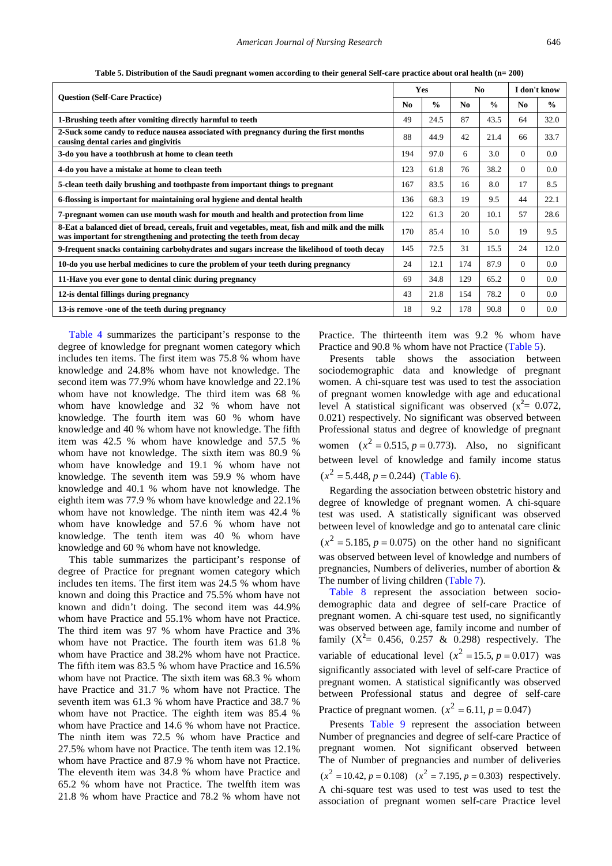<span id="page-3-0"></span>

|                                                                                                                                                                        |                | Yes           |                | N <sub>0</sub> |          | I don't know  |
|------------------------------------------------------------------------------------------------------------------------------------------------------------------------|----------------|---------------|----------------|----------------|----------|---------------|
| <b>Ouestion (Self-Care Practice)</b>                                                                                                                                   | N <sub>0</sub> | $\frac{0}{0}$ | N <sub>0</sub> | $\frac{0}{0}$  | No.      | $\frac{0}{0}$ |
| 1-Brushing teeth after vomiting directly harmful to teeth                                                                                                              | 49             | 24.5          | 87             | 43.5           | 64       | 32.0          |
| 2-Suck some candy to reduce nausea associated with pregnancy during the first months<br>causing dental caries and gingivitis                                           | 88             | 44.9          | 42             | 21.4           | 66       | 33.7          |
| 3-do you have a toothbrush at home to clean teeth                                                                                                                      | 194            | 97.0          | 6              | 3.0            | $\theta$ | 0.0           |
| 4-do you have a mistake at home to clean teeth                                                                                                                         | 123            | 61.8          | 76             | 38.2           | $\Omega$ | 0.0           |
| 5-clean teeth daily brushing and toothpaste from important things to pregnant                                                                                          | 167            | 83.5          | 16             | 8.0            | 17       | 8.5           |
| 6-flossing is important for maintaining oral hygiene and dental health                                                                                                 | 136            | 68.3          | 19             | 9.5            | 44       | 22.1          |
| 7-pregnant women can use mouth wash for mouth and health and protection from lime                                                                                      | 122            | 61.3          | 20             | 10.1           | 57       | 28.6          |
| 8-Eat a balanced diet of bread, cereals, fruit and vegetables, meat, fish and milk and the milk<br>was important for strengthening and protecting the teeth from decay | 170            | 85.4          | 10             | 5.0            | 19       | 9.5           |
| 9-frequent snacks containing carbohydrates and sugars increase the likelihood of tooth decay                                                                           | 145            | 72.5          | 31             | 15.5           | 24       | 12.0          |
| 10-do you use herbal medicines to cure the problem of your teeth during pregnancy                                                                                      | 24             | 12.1          | 174            | 87.9           | $\Omega$ | 0.0           |
| 11-Have you ever gone to dental clinic during pregnancy                                                                                                                | 69             | 34.8          | 129            | 65.2           | $\Omega$ | 0.0           |
| 12-is dental fillings during pregnancy                                                                                                                                 | 43             | 21.8          | 154            | 78.2           | $\Omega$ | $0.0\,$       |
| 13-is remove -one of the teeth during pregnancy                                                                                                                        | 18             | 9.2           | 178            | 90.8           | $\Omega$ | 0.0           |

**Table 5. Distribution of the Saudi pregnant women according to their general Self-care practice about oral health (n= 200)**

[Table 4](#page-2-2) summarizes the participant's response to the degree of knowledge for pregnant women category which includes ten items. The first item was 75.8 % whom have knowledge and 24.8% whom have not knowledge. The second item was 77.9% whom have knowledge and 22.1% whom have not knowledge. The third item was 68 % whom have knowledge and 32 % whom have not knowledge. The fourth item was 60 % whom have knowledge and 40 % whom have not knowledge. The fifth item was 42.5 % whom have knowledge and 57.5 % whom have not knowledge. The sixth item was 80.9 % whom have knowledge and 19.1 % whom have not knowledge. The seventh item was 59.9 % whom have knowledge and 40.1 % whom have not knowledge. The eighth item was 77.9 % whom have knowledge and 22.1% whom have not knowledge. The ninth item was 42.4 % whom have knowledge and 57.6 % whom have not knowledge. The tenth item was 40 % whom have knowledge and 60 % whom have not knowledge.

This table summarizes the participant's response of degree of Practice for pregnant women category which includes ten items. The first item was 24.5 % whom have known and doing this Practice and 75.5% whom have not known and didn't doing. The second item was 44.9% whom have Practice and 55.1% whom have not Practice. The third item was 97 % whom have Practice and 3% whom have not Practice. The fourth item was 61.8 % whom have Practice and 38.2% whom have not Practice. The fifth item was 83.5 % whom have Practice and 16.5% whom have not Practice. The sixth item was 68.3 % whom have Practice and 31.7 % whom have not Practice. The seventh item was 61.3 % whom have Practice and 38.7 % whom have not Practice. The eighth item was 85.4 % whom have Practice and 14.6 % whom have not Practice. The ninth item was 72.5 % whom have Practice and 27.5% whom have not Practice. The tenth item was 12.1% whom have Practice and 87.9 % whom have not Practice. The eleventh item was 34.8 % whom have Practice and 65.2 % whom have not Practice. The twelfth item was 21.8 % whom have Practice and 78.2 % whom have not Practice. The thirteenth item was 9.2 % whom have Practice and 90.8 % whom have not Practice [\(Table 5\)](#page-3-0).

Presents table shows the association between sociodemographic data and knowledge of pregnant women. A chi-square test was used to test the association of pregnant women knowledge with age and educational level A statistical significant was observed  $(x^2 = 0.072)$ , 0.021) respectively. No significant was observed between Professional status and degree of knowledge of pregnant women  $(x^2 = 0.515, p = 0.773)$ . Also, no significant between level of knowledge and family income status  $(x^{2} = 5.448, p = 0.244)$  *[\(Table 6\)](#page-4-0).* 

Regarding the association between obstetric history and degree of knowledge of pregnant women. A chi-square test was used. A statistically significant was observed between level of knowledge and go to antenatal care clinic  $(x^2 = 5.185, p = 0.075)$  on the other hand no significant was observed between level of knowledge and numbers of pregnancies, Numbers of deliveries, number of abortion & The number of living children [\(Table 7\)](#page-4-1).

[Table 8](#page-5-0) represent the association between sociodemographic data and degree of self-care Practice of pregnant women. A chi-square test used, no significantly was observed between age, family income and number of family  $(X^2 = 0.456, 0.257 \& 0.298)$  respectively. The variable of educational level  $(x^2 = 15.5, p = 0.017)$  was significantly associated with level of self-care Practice of pregnant women. A statistical significantly was observed between Professional status and degree of self-care Practice of pregnant women.  $(x^2 = 6.11, p = 0.047)$ 

Presents [Table 9](#page-5-1) represent the association between Number of pregnancies and degree of self-care Practice of pregnant women. Not significant observed between The of Number of pregnancies and number of deliveries  $(x^{2} = 10.42, p = 0.108)$   $(x^{2} = 7.195, p = 0.303)$  respectively. A chi-square test was used to test was used to test the association of pregnant women self-care Practice level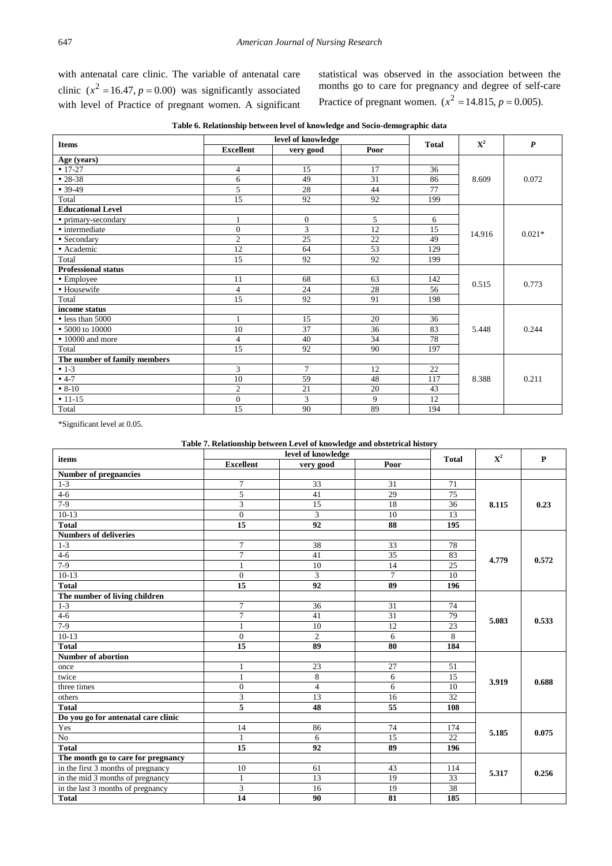with antenatal care clinic. The variable of antenatal care clinic  $(x^2 = 16.47, p = 0.00)$  was significantly associated with level of Practice of pregnant women. A significant

statistical was observed in the association between the months go to care for pregnancy and degree of self-care Practice of pregnant women.  $(x^2 = 14.815, p = 0.005)$ .

**Table 6. Relationship between level of knowledge and Socio-demographic data**

<span id="page-4-0"></span>

| <b>Items</b>                 |                  | level of knowledge |      | <b>Total</b> | $\mathbf{X}^2$ | $\boldsymbol{P}$ |
|------------------------------|------------------|--------------------|------|--------------|----------------|------------------|
|                              | <b>Excellent</b> | very good          | Poor |              |                |                  |
| Age (years)                  |                  |                    |      |              |                |                  |
| $• 17-27$                    | 4                | 15                 | 17   | 36           |                |                  |
| $• 28-38$                    | 6                | 49                 | 31   | 86           | 8.609          | 0.072            |
| $• 39-49$                    | 5                | 28                 | 44   | 77           |                |                  |
| Total                        | 15               | 92                 | 92   | 199          |                |                  |
| <b>Educational Level</b>     |                  |                    |      |              |                |                  |
| • primary-secondary          | 1                | $\overline{0}$     | 5    | 6            |                |                  |
| • intermediate               | $\theta$         | 3                  | 12   | 15           | 14.916         | $0.021*$         |
| • Secondary                  | $\overline{c}$   | 25                 | 22   | 49           |                |                  |
| · Academic                   | 12               | 64                 | 53   | 129          |                |                  |
| Total                        | $\overline{15}$  | 92                 | 92   | 199          |                |                  |
| <b>Professional status</b>   |                  |                    |      |              |                |                  |
| • Employee                   | 11               | 68                 | 63   | 142          | 0.515          | 0.773            |
| • Housewife                  | 4                | 24                 | 28   | 56           |                |                  |
| Total                        | 15               | 92                 | 91   | 198          |                |                  |
| income status                |                  |                    |      |              |                |                  |
| • less than 5000             |                  | 15                 | 20   | 36           |                |                  |
| • 5000 to 10000              | 10               | 37                 | 36   | 83           | 5.448          | 0.244            |
| • 10000 and more             | $\overline{4}$   | 40                 | 34   | 78           |                |                  |
| Total                        | 15               | 92                 | 90   | 197          |                |                  |
| The number of family members |                  |                    |      |              |                |                  |
| $• 1-3$                      | 3                | $\tau$             | 12   | 22           |                |                  |
| $• 4-7$                      | 10               | 59                 | 48   | 117          | 8.388          | 0.211            |
| $• 8-10$                     | 2                | 21                 | 20   | 43           |                |                  |
| $• 11-15$                    | $\overline{0}$   | 3                  | 9    | 12           |                |                  |
| Total                        | 15               | 90                 | 89   | 194          |                |                  |

\*Significant level at 0.05.

#### **Table 7. Relationship between Level of knowledge and obstetrical history**

<span id="page-4-1"></span>

| ${\bf X}^2$<br><b>Total</b><br>items<br><b>Excellent</b><br>Poor<br>very good<br><b>Number of pregnancies</b><br>$\overline{7}$<br>33<br>31<br>71<br>$1 - 3$<br>$4 - 6$<br>5<br>41<br>29<br>75<br>$7-9$<br>3<br>18<br>15<br>36<br>8.115<br>3<br>$10-13$<br>$\Omega$<br>10<br>13<br>15<br>92<br>88<br><b>Total</b><br>195 | P<br>0.23<br>0.572 |
|--------------------------------------------------------------------------------------------------------------------------------------------------------------------------------------------------------------------------------------------------------------------------------------------------------------------------|--------------------|
|                                                                                                                                                                                                                                                                                                                          |                    |
|                                                                                                                                                                                                                                                                                                                          |                    |
|                                                                                                                                                                                                                                                                                                                          |                    |
|                                                                                                                                                                                                                                                                                                                          |                    |
|                                                                                                                                                                                                                                                                                                                          |                    |
|                                                                                                                                                                                                                                                                                                                          |                    |
|                                                                                                                                                                                                                                                                                                                          |                    |
| <b>Numbers of deliveries</b>                                                                                                                                                                                                                                                                                             |                    |
| $1 - 3$<br>$\overline{7}$<br>38<br>33<br>78                                                                                                                                                                                                                                                                              |                    |
| $\overline{7}$<br>$\overline{35}$<br>$4 - 6$<br>41<br>83<br>4.779                                                                                                                                                                                                                                                        |                    |
| $7-9$<br>25<br>10<br>14<br>$\mathbf{1}$                                                                                                                                                                                                                                                                                  |                    |
| 3<br>$\overline{7}$<br>$10-13$<br>$\mathbf{0}$<br>10                                                                                                                                                                                                                                                                     |                    |
| 15<br><b>Total</b><br>92<br>89<br>196                                                                                                                                                                                                                                                                                    |                    |
| The number of living children                                                                                                                                                                                                                                                                                            |                    |
| $1 - 3$<br>$\overline{7}$<br>31<br>74<br>36                                                                                                                                                                                                                                                                              |                    |
| $\overline{31}$<br>$4 - 6$<br>$\overline{7}$<br>41<br>79                                                                                                                                                                                                                                                                 |                    |
| 5.083<br>$7-9$<br>12<br>23<br>$\mathbf{1}$<br>10                                                                                                                                                                                                                                                                         | 0.533              |
| $\overline{c}$<br>8<br>$10-13$<br>$\overline{0}$<br>6                                                                                                                                                                                                                                                                    |                    |
| 15<br>89<br>80<br><b>Total</b><br>184                                                                                                                                                                                                                                                                                    |                    |
| <b>Number of abortion</b>                                                                                                                                                                                                                                                                                                |                    |
| 51<br>23<br>27<br>1<br>once                                                                                                                                                                                                                                                                                              |                    |
| 8<br>twice<br>$\mathbf{1}$<br>6<br>15<br>3.919                                                                                                                                                                                                                                                                           | 0.688              |
| $\overline{0}$<br>$\overline{4}$<br>6<br>10<br>three times                                                                                                                                                                                                                                                               |                    |
| 3<br>13<br>16<br>32<br>others                                                                                                                                                                                                                                                                                            |                    |
| 5<br>$\overline{55}$<br><b>Total</b><br>48<br>108                                                                                                                                                                                                                                                                        |                    |
| Do you go for antenatal care clinic                                                                                                                                                                                                                                                                                      |                    |
| Yes<br>14<br>86<br>74<br>174                                                                                                                                                                                                                                                                                             |                    |
| 5.185<br>15<br>22<br>$\rm No$<br>6<br>$\mathbf{1}$                                                                                                                                                                                                                                                                       | 0.075              |
| <b>Total</b><br>15<br>92<br>89<br>196                                                                                                                                                                                                                                                                                    |                    |
| The month go to care for pregnancy                                                                                                                                                                                                                                                                                       |                    |
| 43<br>in the first 3 months of pregnancy<br>10<br>61<br>114<br>5.317                                                                                                                                                                                                                                                     | 0.256              |
| 19<br>in the mid 3 months of pregnancy<br>$\mathbf{1}$<br>13<br>33                                                                                                                                                                                                                                                       |                    |
| 3<br>16<br>19<br>38<br>in the last 3 months of pregnancy                                                                                                                                                                                                                                                                 |                    |
| 14<br>81<br>90<br>185<br><b>Total</b>                                                                                                                                                                                                                                                                                    |                    |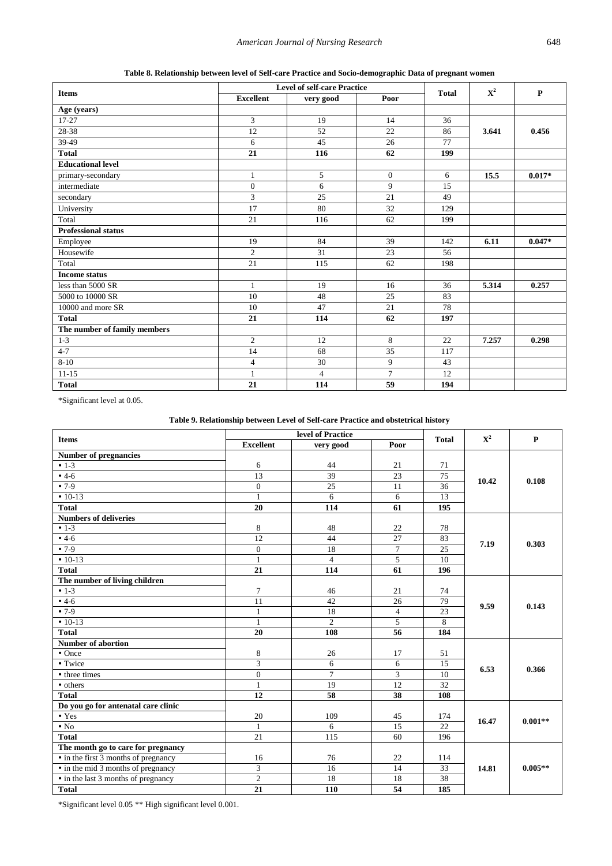<span id="page-5-0"></span>

|                              |                  | <b>Level of self-care Practice</b> |                |              |             |              |
|------------------------------|------------------|------------------------------------|----------------|--------------|-------------|--------------|
| <b>Items</b>                 | <b>Excellent</b> | very good                          | Poor           | <b>Total</b> | ${\bf X}^2$ | $\mathbf{P}$ |
| Age (years)                  |                  |                                    |                |              |             |              |
| $17-27$                      | $\overline{3}$   | 19                                 | 14             | 36           |             |              |
| 28-38                        | 12               | 52                                 | 22             | 86           | 3.641       | 0.456        |
| 39-49                        | 6                | 45                                 | 26             | 77           |             |              |
| <b>Total</b>                 | 21               | 116                                | 62             | 199          |             |              |
| <b>Educational level</b>     |                  |                                    |                |              |             |              |
| primary-secondary            | 1                | 5                                  | $\overline{0}$ | 6            | 15.5        | $0.017*$     |
| intermediate                 | $\mathbf{0}$     | 6                                  | 9              | 15           |             |              |
| secondary                    | 3                | 25                                 | 21             | 49           |             |              |
| University                   | 17               | 80                                 | 32             | 129          |             |              |
| Total                        | 21               | 116                                | 62             | 199          |             |              |
| <b>Professional status</b>   |                  |                                    |                |              |             |              |
| Employee                     | 19               | 84                                 | 39             | 142          | 6.11        | $0.047*$     |
| Housewife                    | $\overline{c}$   | 31                                 | 23             | 56           |             |              |
| Total                        | 21               | 115                                | 62             | 198          |             |              |
| <b>Income status</b>         |                  |                                    |                |              |             |              |
| less than 5000 SR            | $\mathbf{1}$     | 19                                 | 16             | 36           | 5.314       | 0.257        |
| 5000 to 10000 SR             | 10               | 48                                 | 25             | 83           |             |              |
| 10000 and more SR            | 10               | 47                                 | 21             | 78           |             |              |
| <b>Total</b>                 | 21               | 114                                | 62             | 197          |             |              |
| The number of family members |                  |                                    |                |              |             |              |
| $1 - 3$                      | $\overline{2}$   | 12                                 | 8              | 22           | 7.257       | 0.298        |
| $4 - 7$                      | 14               | 68                                 | 35             | 117          |             |              |
| $8 - 10$                     | $\overline{4}$   | 30                                 | 9              | 43           |             |              |
| $11 - 15$                    | 1                | $\overline{4}$                     | $\overline{7}$ | 12           |             |              |
| <b>Total</b>                 | 21               | 114                                | 59             | 194          |             |              |

**Table 8. Relationship between level of Self-care Practice and Socio-demographic Data of pregnant women**

\*Significant level at 0.05.

#### **Table 9. Relationship between Level of Self-care Practice and obstetrical history**

<span id="page-5-1"></span>

|                                      |                  | level of Practice |                | ${\bf X}^2$     | $\mathbf{P}$ |           |  |
|--------------------------------------|------------------|-------------------|----------------|-----------------|--------------|-----------|--|
| <b>Items</b>                         | <b>Excellent</b> | very good         | Poor           | <b>Total</b>    |              |           |  |
| <b>Number of pregnancies</b>         |                  |                   |                |                 |              |           |  |
| $• 1-3$                              | 6                | 44                | 21             | 71              |              |           |  |
| $• 4-6$                              | 13               | 39                | 23             | 75              | 10.42        | 0.108     |  |
| $•7-9$                               | $\overline{0}$   | 25                | 11             | 36              |              |           |  |
| $\cdot$ 10-13                        | $\mathbf{1}$     | 6                 | 6              | 13              |              |           |  |
| <b>Total</b>                         | 20               | 114               | 61             | 195             |              |           |  |
| <b>Numbers of deliveries</b>         |                  |                   |                |                 |              |           |  |
| $• 1-3$                              | 8                | $48\,$            | 22             | 78              |              |           |  |
| $•4-6$                               | 12               | 44                | 27             | 83              |              |           |  |
| $•7-9$                               | $\overline{0}$   | 18                | $\overline{7}$ | 25              | 7.19         | 0.303     |  |
| $• 10-13$                            | $\mathbf{1}$     | $\overline{4}$    | 5              | 10              |              |           |  |
| <b>Total</b>                         | 21               | 114               | 61             | 196             |              |           |  |
| The number of living children        |                  |                   |                |                 |              |           |  |
| $• 1-3$                              | $\overline{7}$   | 46                | 21             | 74              |              |           |  |
| $• 4-6$                              | 11               | 42                | 26             | 79              |              |           |  |
| $• 7-9$                              | $\mathbf{1}$     | 18                | $\overline{4}$ | 23              | 9.59         | 0.143     |  |
| $• 10-13$                            | $\mathbf{1}$     | $\overline{2}$    | 5              | 8               |              |           |  |
| <b>Total</b>                         | 20               | 108               | 56             | 184             |              |           |  |
| <b>Number of abortion</b>            |                  |                   |                |                 |              |           |  |
| $\bullet$ Once                       | 8                | 26                | 17             | 51              |              |           |  |
| • Twice                              | 3                | 6                 | 6              | 15              |              |           |  |
| • three times                        | $\boldsymbol{0}$ | $\overline{7}$    | 3              | 10              | 6.53         | 0.366     |  |
| • others                             | $\mathbf{1}$     | 19                | 12             | $\overline{32}$ |              |           |  |
| <b>Total</b>                         | 12               | 58                | 38             | 108             |              |           |  |
| Do you go for antenatal care clinic  |                  |                   |                |                 |              |           |  |
| $\bullet$ Yes                        | 20               | 109               | 45             | 174             | 16.47        | $0.001**$ |  |
| $\bullet$ No                         | $\mathbf{1}$     | 6                 | 15             | 22              |              |           |  |
| <b>Total</b>                         | 21               | 115               | 60             | 196             |              |           |  |
| The month go to care for pregnancy   |                  |                   |                |                 |              |           |  |
| • in the first 3 months of pregnancy | 16               | 76                | 22             | 114             |              |           |  |
| • in the mid 3 months of pregnancy   | 3                | 16                | 14             | 33              | 14.81        | $0.005**$ |  |
| • in the last 3 months of pregnancy  | $\overline{2}$   | 18                | 18             | 38              |              |           |  |
| <b>Total</b>                         | 21               | 110               | 54             | 185             |              |           |  |

\*Significant level 0.05 \*\* High significant level 0.001.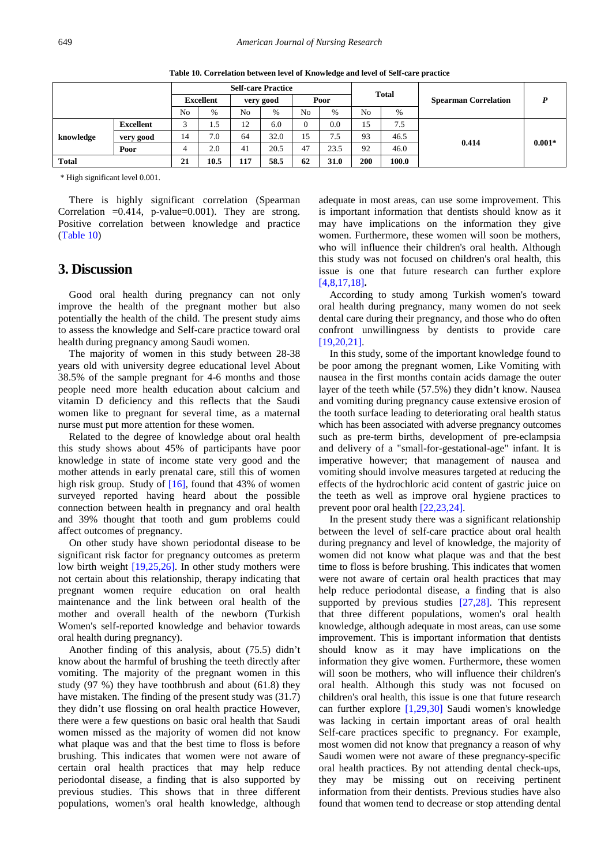<span id="page-6-0"></span>

|              |           |    |           |     | <b>Self-care Practice</b> |                |             |     |               |                                             |          |
|--------------|-----------|----|-----------|-----|---------------------------|----------------|-------------|-----|---------------|---------------------------------------------|----------|
|              |           |    | Excellent |     | very good                 | Poor           |             |     |               | <b>Total</b><br><b>Spearman Correlation</b> |          |
|              |           | No | $\%$      | No  | $\%$                      | N <sub>0</sub> | $\%$        | No  | $\frac{0}{0}$ |                                             |          |
|              | Excellent | ◠  | 1.5       | 12  | 6.0                       |                | $_{0.0}$    | 15  | 7.5           |                                             |          |
| knowledge    | very good | 14 | 7.0       | 64  | 32.0                      | 15             | '.5         | 93  | 46.5          | 0.414                                       | $0.001*$ |
|              | Poor      |    | 2.0       | 41  | 20.5                      | 47             | 23.5        | 92  | 46.0          |                                             |          |
| <b>Total</b> |           | 21 | 10.5      | 117 | 58.5                      | 62             | <b>31.0</b> | 200 | 100.0         |                                             |          |

**Table 10. Correlation between level of Knowledge and level of Self-care practice**

\* High significant level 0.001.

There is highly significant correlation (Spearman Correlation  $=0.414$ , p-value $=0.001$ ). They are strong. Positive correlation between knowledge and practice [\(Table 10\)](#page-6-0)

# **3. Discussion**

Good oral health during pregnancy can not only improve the health of the pregnant mother but also potentially the health of the child. The present study aims to assess the knowledge and Self-care practice toward oral health during pregnancy among Saudi women.

The majority of women in this study between 28-38 years old with university degree educational level About 38.5% of the sample pregnant for 4-6 months and those people need more health education about calcium and vitamin D deficiency and this reflects that the Saudi women like to pregnant for several time, as a maternal nurse must put more attention for these women.

Related to the degree of knowledge about oral health this study shows about 45% of participants have poor knowledge in state of income state very good and the mother attends in early prenatal care, still this of women high risk group. Study of  $[16]$ , found that 43% of women surveyed reported having heard about the possible connection between health in pregnancy and oral health and 39% thought that tooth and gum problems could affect outcomes of pregnancy.

On other study have shown periodontal disease to be significant risk factor for pregnancy outcomes as preterm low birth weight [\[19,25,26\].](#page-7-9) In other study mothers were not certain about this relationship, therapy indicating that pregnant women require education on oral health maintenance and the link between oral health of the mother and overall health of the newborn (Turkish Women's self-reported knowledge and behavior towards oral health during pregnancy).

Another finding of this analysis, about (75.5) didn't know about the harmful of brushing the teeth directly after vomiting. The majority of the pregnant women in this study (97 %) they have toothbrush and about (61.8) they have mistaken. The finding of the present study was (31.7) they didn't use flossing on oral health practice However, there were a few questions on basic oral health that Saudi women missed as the majority of women did not know what plaque was and that the best time to floss is before brushing. This indicates that women were not aware of certain oral health practices that may help reduce periodontal disease, a finding that is also supported by previous studies. This shows that in three different populations, women's oral health knowledge, although

adequate in most areas, can use some improvement. This is important information that dentists should know as it may have implications on the information they give women. Furthermore, these women will soon be mothers, who will influence their children's oral health. Although this study was not focused on children's oral health, this issue is one that future research can further explore [\[4,8,17,18\]](#page-7-2)**.**

According to study among Turkish women's toward oral health during pregnancy, many women do not seek dental care during their pregnancy, and those who do often confront unwillingness by dentists to provide care [\[19,20,21\].](#page-7-9)

In this study, some of the important knowledge found to be poor among the pregnant women, Like Vomiting with nausea in the first months contain acids damage the outer layer of the teeth while (57.5%) they didn't know. Nausea and vomiting during pregnancy cause extensive erosion of the tooth surface leading to deteriorating oral health status which has been associated with adverse pregnancy outcomes such as pre-term births, development of pre-eclampsia and delivery of a "small-for-gestational-age" infant. It is imperative however; that management of nausea and vomiting should involve measures targeted at reducing the effects of the hydrochloric acid content of gastric juice on the teeth as well as improve oral hygiene practices to prevent poor oral healt[h \[22,23,24\].](#page-7-10)

In the present study there was a significant relationship between the level of self-care practice about oral health during pregnancy and level of knowledge, the majority of women did not know what plaque was and that the best time to floss is before brushing. This indicates that women were not aware of certain oral health practices that may help reduce periodontal disease, a finding that is also supported by previous studies [\[27,28\].](#page-8-0) This represent that three different populations, women's oral health knowledge, although adequate in most areas, can use some improvement. This is important information that dentists should know as it may have implications on the information they give women. Furthermore, these women will soon be mothers, who will influence their children's oral health. Although this study was not focused on children's oral health, this issue is one that future research can further explore [\[1,29,30\]](#page-7-0) Saudi women's knowledge was lacking in certain important areas of oral health Self-care practices specific to pregnancy. For example, most women did not know that pregnancy a reason of why Saudi women were not aware of these pregnancy-specific oral health practices. By not attending dental check-ups, they may be missing out on receiving pertinent information from their dentists. Previous studies have also found that women tend to decrease or stop attending dental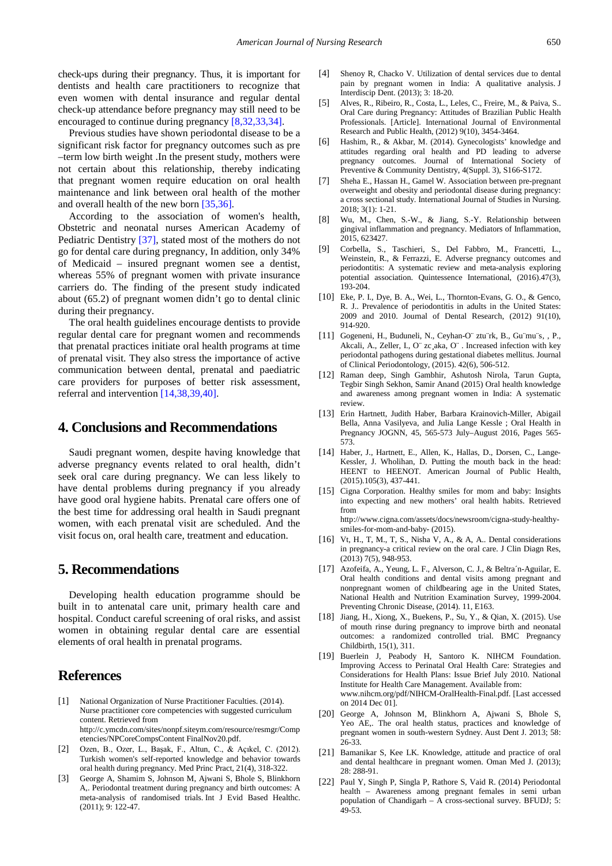check-ups during their pregnancy. Thus, it is important for dentists and health care practitioners to recognize that even women with dental insurance and regular dental check-up attendance before pregnancy may still need to be encouraged to continue during pregnancy [\[8,32,33,34\].](#page-7-4)

Previous studies have shown periodontal disease to be a significant risk factor for pregnancy outcomes such as pre –term low birth weight .In the present study, mothers were not certain about this relationship, thereby indicating that pregnant women require education on oral health maintenance and link between oral health of the mother and overall health of the new born [\[35,36\].](#page-8-1) 

According to the association of women's health, Obstetric and neonatal nurses American Academy of Pediatric Dentistry [\[37\],](#page-8-2) stated most of the mothers do not go for dental care during pregnancy, In addition, only 34% of Medicaid – insured pregnant women see a dentist, whereas 55% of pregnant women with private insurance carriers do. The finding of the present study indicated about (65.2) of pregnant women didn't go to dental clinic during their pregnancy.

The oral health guidelines encourage dentists to provide regular dental care for pregnant women and recommends that prenatal practices initiate oral health programs at time of prenatal visit. They also stress the importance of active communication between dental, prenatal and paediatric care providers for purposes of better risk assessment, referral and intervention [\[14,38,39,40\].](#page-7-11)

# **4. Conclusions and Recommendations**

Saudi pregnant women, despite having knowledge that adverse pregnancy events related to oral health, didn't seek oral care during pregnancy. We can less likely to have dental problems during pregnancy if you already have good oral hygiene habits. Prenatal care offers one of the best time for addressing oral health in Saudi pregnant women, with each prenatal visit are scheduled. And the visit focus on, oral health care, treatment and education.

## **5. Recommendations**

Developing health education programme should be built in to antenatal care unit, primary health care and hospital. Conduct careful screening of oral risks, and assist women in obtaining regular dental care are essential elements of oral health in prenatal programs.

# **References**

- <span id="page-7-0"></span>[1] National Organization of Nurse Practitioner Faculties. (2014). Nurse practitioner core competencies with suggested curriculum content. Retrieved from http://c.ymcdn.com/sites/nonpf.siteym.com/resource/resmgr/Comp etencies/NPCoreCompsContent FinalNov20.pdf.
- [2] Ozen, B., Ozer, L., Başak, F., Altun, C., & Açıkel, C. (2012). Turkish women's self-reported knowledge and behavior towards oral health during pregnancy. Med Princ Pract, 21(4), 318-322.
- <span id="page-7-1"></span>[3] [George A, Shamim S, Johnson M, Ajwani S, Bhole S, Blinkhorn](https://www.ncbi.nlm.nih.gov/pubmed/21599842)  [A,. Periodontal treatment during pregnancy and birth outcomes: A](https://www.ncbi.nlm.nih.gov/pubmed/21599842)  [meta-analysis of randomised trials.](https://www.ncbi.nlm.nih.gov/pubmed/21599842) Int J Evid Based Healthc. (2011); 9: [122-47.](https://www.ncbi.nlm.nih.gov/pubmed/21599842)
- <span id="page-7-2"></span>[4] Shenoy R, Chacko V. Utilization of dental services due to dental pain by pregnant women in India: A qualitative analysis. J Interdiscip Dent. (2013); 3: 18-20.
- [5] Alves, R., Ribeiro, R., Costa, L., Leles, C., Freire, M., & Paiva, S.. Oral Care during Pregnancy: Attitudes of Brazilian Public Health Professionals. [Article]. International Journal of Environmental Research and Public Health, (2012) 9(10), 3454-3464.
- [6] Hashim, R., & Akbar, M. (2014). Gynecologists' knowledge and attitudes regarding oral health and PD leading to adverse pregnancy outcomes. Journal of International Society of Preventive & Community Dentistry, 4(Suppl. 3), S166-S172.
- <span id="page-7-3"></span>[7] Sheha E., Hassan H., Gamel W. Association between pre-pregnant overweight and obesity and periodontal disease during pregnancy: a cross sectional study. International Journal of Studies in Nursing. 2018; 3(1): 1-21.
- <span id="page-7-4"></span>[8] Wu, M., Chen, S.-W., & Jiang, S.-Y. Relationship between gingival inflammation and pregnancy. Mediators of Inflammation, 2015, 623427.
- [9] [Corbella, S., Taschieri, S., Del Fabbro, M., Francetti, L.,](http://dx.doi.org/10.3290/j.qi.a34980)  [Weinstein, R., & Ferrazzi, E. Adverse pregnancy outcomes and](http://dx.doi.org/10.3290/j.qi.a34980)  [periodontitis: A systematic review and meta-analysis exploring](http://dx.doi.org/10.3290/j.qi.a34980)  [potential association. Quintessence International, \(2016\).47\(3\),](http://dx.doi.org/10.3290/j.qi.a34980)  [193-204.](http://dx.doi.org/10.3290/j.qi.a34980)
- [10] Eke, P. I., Dye, B. A., Wei, L., Thornton-Evans, G. O., & Genco, R. J.. Prevalence of periodontitis in adults in the United States: 2009 and 2010. Journal of Dental Research, (2012) 91(10), 914-920.
- <span id="page-7-5"></span>[11] Gogeneni, H., Buduneli, N., Ceyhan-O" ztu"rk, B., Gu"mu"s, , P., Akcali, A., Zeller, I., O¨ zc¸aka, O¨ . Increased infection with key periodontal pathogens during gestational diabetes mellitus. Journal of Clinical Periodontology, (2015). 42(6), 506-512.
- <span id="page-7-6"></span>[12] Raman deep, Singh Gambhir, Ashutosh Nirola, Tarun Gupta, Tegbir Singh Sekhon, Samir Anand (2015) Oral health knowledge and awareness among pregnant women in India: A systematic review.
- [13] [Erin Hartnett, Judith Haber, Barbara Krainovich-Miller, Abigail](http://dx.doi.org/10.1016/j.jogn.2016.04.005)  [Bella, Anna Vasilyeva, and Julia Lange Kessle ;](http://dx.doi.org/10.1016/j.jogn.2016.04.005) Oral Health in [Pregnancy JOGNN, 45, 565-573](http://dx.doi.org/10.1016/j.jogn.2016.04.005) July–August 2016, Pages 565- [573.](http://dx.doi.org/10.1016/j.jogn.2016.04.005)
- <span id="page-7-11"></span>[14] [Haber, J., Hartnett, E., Allen, K., Hallas, D., Dorsen, C., Lange-](http://dx.doi.org/10.2105/AJPH.2014.302495)[Kessler, J. Wholihan, D. Putting the mouth back in the head:](http://dx.doi.org/10.2105/AJPH.2014.302495)  [HEENT to HEENOT. American Journal of Public Health,](http://dx.doi.org/10.2105/AJPH.2014.302495)  [\(2015\).105\(3\), 437-441.](http://dx.doi.org/10.2105/AJPH.2014.302495)
- <span id="page-7-7"></span>[15] Cigna Corporation. Healthy smiles for mom and baby: Insights into expecting and new mothers' oral health habits. Retrieved from http://www.cigna.com/assets/docs/newsroom/cigna-study-healthysmiles-for-mom-and-baby- (2015).
- <span id="page-7-8"></span>[16] Vt, H., T, M., T, S., Nisha V, A., & A, A.. Dental considerations in pregnancy-a critical review on the oral care. J Clin Diagn Res, (2013) 7(5), 948-953.
- [17] Azofeifa, A., Yeung, L. F., Alverson, C. J., & Beltra´n-Aguilar, E. Oral health conditions and dental visits among pregnant and nonpregnant women of childbearing age in the United States, National Health and Nutrition Examination Survey, 1999-2004. Preventing Chronic Disease, (2014). 11, E163.
- [18] Jiang, H., Xiong, X., Buekens, P., Su, Y., & Qian, X. (2015). Use of mouth rinse during pregnancy to improve birth and neonatal outcomes: a randomized controlled trial. BMC Pregnancy Childbirth, 15(1), 311.
- <span id="page-7-9"></span>[19] Buerlein J, Peabody H, Santoro K. NIHCM Foundation. Improving Access to Perinatal Oral Health Care: Strategies and Considerations for Health Plans: Issue Brief July 2010. National Institute for Health Care Management. Available from: www.nihcm.org/pdf/NIHCM-OralHealth-Final.pdf. [Last accessed on 2014 Dec 01].
- [20] George A, Johnson M, Blinkhorn A, Ajwani S, Bhole S, Yeo AE,. The oral health status, practices and knowledge of pregnant women in south-western Sydney. Aust Dent J. 2013; 58: 26-33.
- [21] Bamanikar S, Kee LK. Knowledge, attitude and practice of oral and dental healthcare in pregnant women. Oman Med J. (2013); 28: 288-91.
- <span id="page-7-10"></span>[22] Paul Y, Singh P, Singla P, Rathore S, Vaid R. (2014) Periodontal health – Awareness among pregnant females in semi urban population of Chandigarh – A cross-sectional survey. BFUDJ; 5: 49-53.